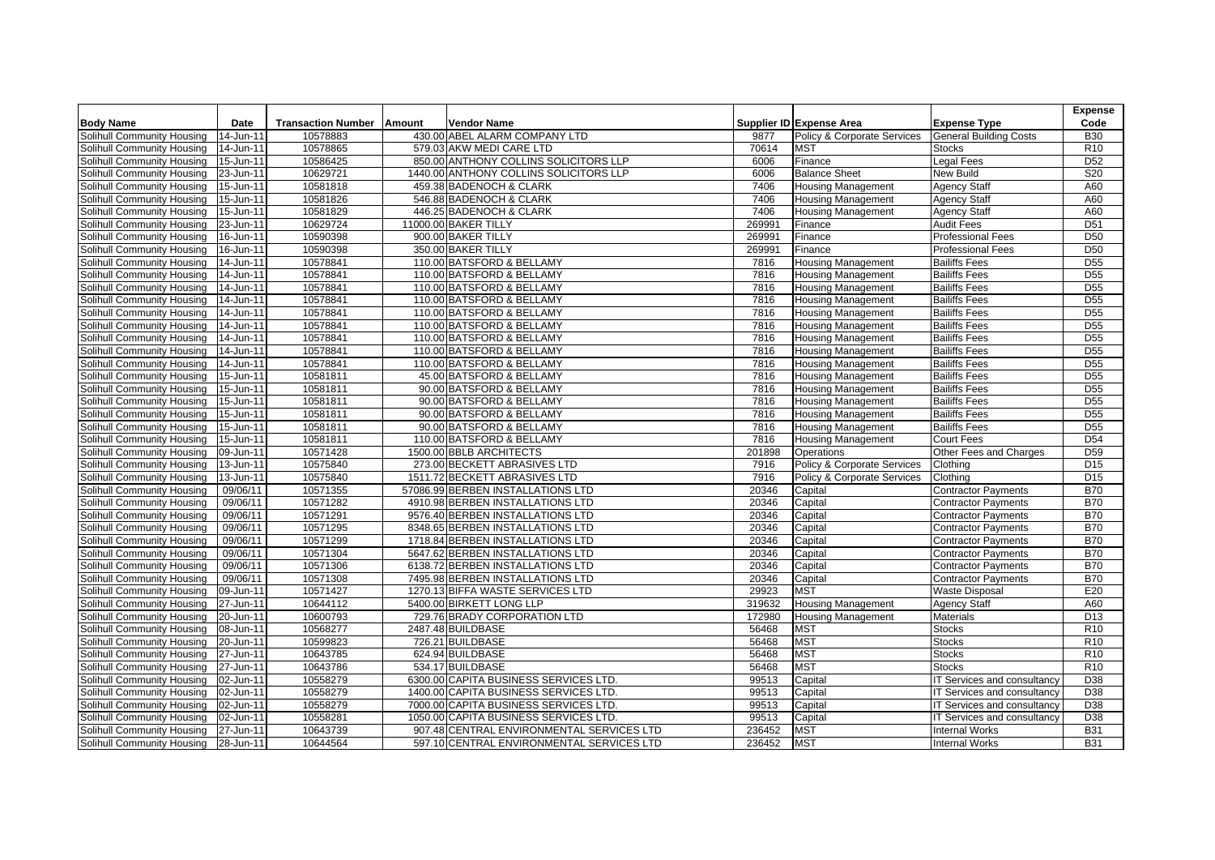|                            |                         |                           |        |                                           |              |                                        |                               | <b>Expense</b>                     |
|----------------------------|-------------------------|---------------------------|--------|-------------------------------------------|--------------|----------------------------------------|-------------------------------|------------------------------------|
| <b>Body Name</b>           | Date                    | <b>Transaction Number</b> | Amount | <b>Vendor Name</b>                        |              | Supplier ID Expense Area               | <b>Expense Type</b>           | Code                               |
| Solihull Community Housing | 14-Jun-11               | 10578883                  |        | 430.00 ABEL ALARM COMPANY LTD             | 9877         | Policy & Corporate Services            | <b>General Building Costs</b> | <b>B30</b>                         |
| Solihull Community Housing | 14-Jun-11               | 10578865                  |        | 579.03 AKW MEDI CARE LTD                  | 70614        | <b>MST</b>                             | <b>Stocks</b>                 | R <sub>10</sub>                    |
| Solihull Community Housing | 15-Jun-11               | 10586425                  |        | 850.00 ANTHONY COLLINS SOLICITORS LLP     | 6006         | Finance                                | <b>Legal Fees</b>             | D <sub>52</sub>                    |
| Solihull Community Housing | 23-Jun-11               | 10629721                  |        | 1440.00 ANTHONY COLLINS SOLICITORS LLP    | 6006         | <b>Balance Sheet</b>                   | <b>New Build</b>              | S20                                |
| Solihull Community Housing | 15-Jun-11               | 10581818                  |        | 459.38 BADENOCH & CLARK                   | 7406         | <b>Housing Management</b>              | <b>Agency Staff</b>           | A60                                |
| Solihull Community Housing | 15-Jun-11               | 10581826                  |        | 546.88 BADENOCH & CLARK                   | 7406         | <b>Housing Management</b>              | <b>Agency Staff</b>           | A60                                |
| Solihull Community Housing | 15-Jun-11               | 10581829                  |        | 446.25 BADENOCH & CLARK                   | 7406         | <b>Housing Management</b>              | <b>Agency Staff</b>           | A60                                |
| Solihull Community Housing | 23-Jun-11               | 10629724                  |        | 11000.00 BAKER TILLY                      | 269991       | Finance                                | <b>Audit Fees</b>             | D <sub>51</sub>                    |
| Solihull Community Housing | 16-Jun-11               | 10590398                  |        | 900.00 BAKER TILLY                        | 269991       | Finance                                | <b>Professional Fees</b>      | D50                                |
| Solihull Community Housing | 16-Jun-11               | 10590398                  |        | 350.00 BAKER TILLY                        | 269991       | Finance                                | <b>Professional Fees</b>      | D <sub>50</sub>                    |
| Solihull Community Housing | 14-Jun-11               | 10578841                  |        | 110.00 BATSFORD & BELLAMY                 | 7816         | <b>Housing Management</b>              | <b>Bailiffs Fees</b>          | D <sub>55</sub>                    |
| Solihull Community Housing | 14-Jun-11               | 10578841                  |        | 110.00 BATSFORD & BELLAMY                 | 7816         | <b>Housing Management</b>              | <b>Bailiffs Fees</b>          | <b>D55</b>                         |
| Solihull Community Housing | 14-Jun-11               | 10578841                  |        | 110.00 BATSFORD & BELLAMY                 | 7816         | <b>Housing Management</b>              | <b>Bailiffs Fees</b>          | D <sub>55</sub>                    |
| Solihull Community Housing | 14-Jun-11               | 10578841                  |        | 110.00 BATSFORD & BELLAMY                 | 7816         | <b>Housing Management</b>              | <b>Bailiffs Fees</b>          | D <sub>55</sub>                    |
| Solihull Community Housing | 14-Jun-11               | 10578841                  |        | 110.00 BATSFORD & BELLAMY                 | 7816         | <b>Housing Management</b>              | <b>Bailiffs Fees</b>          | D <sub>55</sub>                    |
| Solihull Community Housing | 14-Jun-11               | 10578841                  |        | 110.00 BATSFORD & BELLAMY                 | 7816         | <b>Housing Management</b>              | <b>Bailiffs Fees</b>          | D <sub>55</sub>                    |
| Solihull Community Housing | 14-Jun-11               | 10578841                  |        | 110.00 BATSFORD & BELLAMY                 | 7816         | <b>Housing Management</b>              | <b>Bailiffs Fees</b>          | <b>D55</b>                         |
| Solihull Community Housing | $\overline{1}$ 4-Jun-11 | 10578841                  |        | 110.00 BATSFORD & BELLAMY                 | 7816         | <b>Housing Management</b>              | <b>Bailiffs Fees</b>          | D <sub>55</sub>                    |
| Solihull Community Housing | 14-Jun-11               | 10578841                  |        | 110.00 BATSFORD & BELLAMY                 | 7816         | <b>Housing Management</b>              | <b>Bailiffs Fees</b>          | D <sub>55</sub>                    |
| Solihull Community Housing | 15-Jun-11               | 10581811                  |        | 45.00 BATSFORD & BELLAMY                  | 7816         | <b>Housing Management</b>              | <b>Bailiffs Fees</b>          | D <sub>55</sub>                    |
| Solihull Community Housing | 15-Jun-11               | 10581811                  |        | 90.00 BATSFORD & BELLAMY                  | 7816         | <b>Housing Management</b>              | <b>Bailiffs Fees</b>          | D <sub>55</sub>                    |
|                            |                         |                           |        |                                           |              |                                        |                               |                                    |
| Solihull Community Housing | 15-Jun-11               | 10581811                  |        | 90.00 BATSFORD & BELLAMY                  | 7816         | <b>Housing Management</b>              | <b>Bailiffs Fees</b>          | D <sub>55</sub>                    |
| Solihull Community Housing | 15-Jun-11               | 10581811<br>10581811      |        | 90.00 BATSFORD & BELLAMY                  | 7816<br>7816 | <b>Housing Management</b>              | <b>Bailiffs Fees</b>          | D <sub>55</sub><br>D <sub>55</sub> |
| Solihull Community Housing | 15-Jun-11               |                           |        | 90.00 BATSFORD & BELLAMY                  |              | <b>Housing Management</b>              | <b>Bailiffs Fees</b>          |                                    |
| Solihull Community Housing | 15-Jun-11               | 10581811                  |        | 110.00 BATSFORD & BELLAMY                 | 7816         | Housing Management                     | <b>Court Fees</b>             | D <sub>54</sub>                    |
| Solihull Community Housing | 09-Jun-11               | 10571428                  |        | 1500.00 BBLB ARCHITECTS                   | 201898       | Operations                             | Other Fees and Charges        | D <sub>59</sub>                    |
| Solihull Community Housing | 13-Jun-11               | 10575840                  |        | 273.00 BECKETT ABRASIVES LTD              | 7916         | Policy & Corporate Services            | Clothing                      | D <sub>15</sub>                    |
| Solihull Community Housing | 13-Jun-11               | 10575840                  |        | 1511.72 BECKETT ABRASIVES LTD             | 7916         | <b>Policy &amp; Corporate Services</b> | Clothing                      | D <sub>15</sub>                    |
| Solihull Community Housing | 09/06/11                | 10571355                  |        | 57086.99 BERBEN INSTALLATIONS LTD         | 20346        | Capital                                | <b>Contractor Payments</b>    | <b>B70</b>                         |
| Solihull Community Housing | 09/06/11                | 10571282                  |        | 4910.98 BERBEN INSTALLATIONS LTD          | 20346        | Capital                                | <b>Contractor Payments</b>    | <b>B70</b>                         |
| Solihull Community Housing | 09/06/11                | 10571291                  |        | 9576.40 BERBEN INSTALLATIONS LTD          | 20346        | Capital                                | <b>Contractor Payments</b>    | <b>B70</b>                         |
| Solihull Community Housing | 09/06/11                | 10571295                  |        | 8348.65 BERBEN INSTALLATIONS LTD          | 20346        | Capital                                | <b>Contractor Payments</b>    | <b>B70</b>                         |
| Solihull Community Housing | 09/06/11                | 10571299                  |        | 1718.84 BERBEN INSTALLATIONS LTD          | 20346        | Capital                                | <b>Contractor Payments</b>    | <b>B70</b>                         |
| Solihull Community Housing | 09/06/11                | 10571304                  |        | 5647.62 BERBEN INSTALLATIONS LTD          | 20346        | Capital                                | <b>Contractor Payments</b>    | <b>B70</b>                         |
| Solihull Community Housing | 09/06/11                | 10571306                  |        | 6138.72 BERBEN INSTALLATIONS LTD          | 20346        | Capital                                | <b>Contractor Payments</b>    | <b>B70</b>                         |
| Solihull Community Housing | 09/06/11                | 10571308                  |        | 7495.98 BERBEN INSTALLATIONS LTD          | 20346        | Capital                                | <b>Contractor Payments</b>    | <b>B70</b>                         |
| Solihull Community Housing | 09-Jun-11               | 10571427                  |        | 1270.13 BIFFA WASTE SERVICES LTD          | 29923        | <b>MST</b>                             | <b>Waste Disposal</b>         | E20                                |
| Solihull Community Housing | 27-Jun-11               | 10644112                  |        | 5400.00 BIRKETT LONG LLP                  | 319632       | <b>Housing Management</b>              | <b>Agency Staff</b>           | A60                                |
| Solihull Community Housing | 20-Jun-11               | 10600793                  |        | 729.76 BRADY CORPORATION LTD              | 172980       | <b>Housing Management</b>              | <b>Materials</b>              | D <sub>13</sub>                    |
| Solihull Community Housing | 08-Jun-11               | 10568277                  |        | 2487.48 BUILDBASE                         | 56468        | <b>MST</b>                             | <b>Stocks</b>                 | R <sub>10</sub>                    |
| Solihull Community Housing | 20-Jun-11               | 10599823                  |        | 726.21 BUILDBASE                          | 56468        | <b>MST</b>                             | <b>Stocks</b>                 | R <sub>10</sub>                    |
| Solihull Community Housing | 27-Jun-11               | 10643785                  |        | 624.94 BUILDBASE                          | 56468        | <b>MST</b>                             | <b>Stocks</b>                 | R <sub>10</sub>                    |
| Solihull Community Housing | 27-Jun-11               | 10643786                  |        | 534.17 BUILDBASE                          | 56468        | <b>MST</b>                             | <b>Stocks</b>                 | R10                                |
| Solihull Community Housing | 02-Jun-11               | 10558279                  |        | 6300.00 CAPITA BUSINESS SERVICES LTD.     | 99513        | Capital                                | IT Services and consultancy   | D38                                |
| Solihull Community Housing | 02-Jun-11               | 10558279                  |        | 1400.00 CAPITA BUSINESS SERVICES LTD.     | 99513        | Capital                                | IT Services and consultancy   | D38                                |
| Solihull Community Housing | 02-Jun-11               | 10558279                  |        | 7000.00 CAPITA BUSINESS SERVICES LTD.     | 99513        | Capital                                | IT Services and consultancy   | D38                                |
| Solihull Community Housing | 02-Jun-11               | 10558281                  |        | 1050.00 CAPITA BUSINESS SERVICES LTD.     | 99513        | Capital                                | IT Services and consultancy   | D38                                |
| Solihull Community Housing | 27-Jun-11               | 10643739                  |        | 907.48 CENTRAL ENVIRONMENTAL SERVICES LTD | 236452       | <b>MST</b>                             | <b>Internal Works</b>         | <b>B31</b>                         |
| Solihull Community Housing | 28-Jun-11               | 10644564                  |        | 597.10 CENTRAL ENVIRONMENTAL SERVICES LTD | 236452       | <b>MST</b>                             | <b>Internal Works</b>         | <b>B31</b>                         |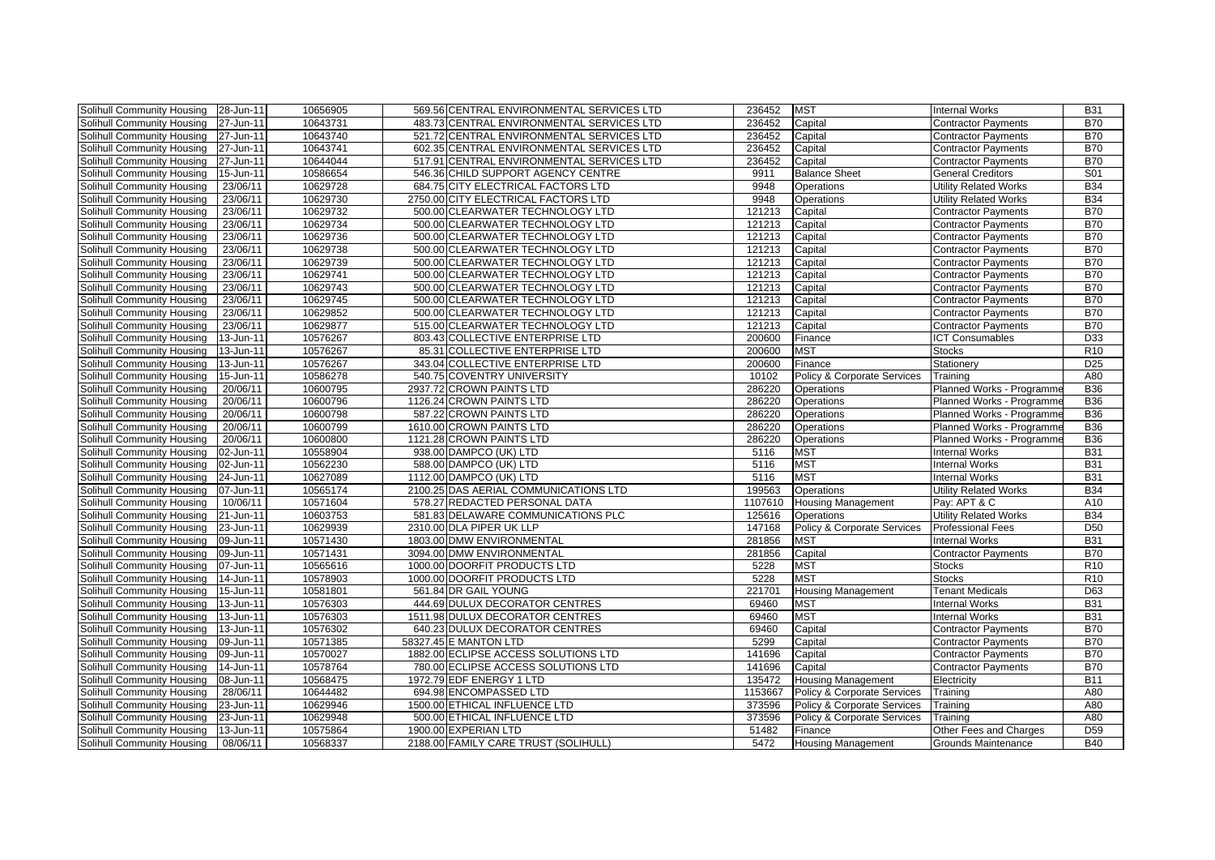| Solihull Community Housing        | 28-Jun-11 | 10656905 | 569.56 CENTRAL ENVIRONMENTAL SERVICES LTD | 236452  | <b>MST</b>                  | <b>Internal Works</b>        | <b>B31</b>      |
|-----------------------------------|-----------|----------|-------------------------------------------|---------|-----------------------------|------------------------------|-----------------|
| Solihull Community Housing        | 27-Jun-11 | 10643731 | 483.73 CENTRAL ENVIRONMENTAL SERVICES LTD | 236452  | Capital                     | <b>Contractor Payments</b>   | <b>B70</b>      |
| Solihull Community Housing        | 27-Jun-11 | 10643740 | 521.72 CENTRAL ENVIRONMENTAL SERVICES LTD | 236452  | Capital                     | <b>Contractor Payments</b>   | <b>B70</b>      |
| Solihull Community Housing        | 27-Jun-11 | 10643741 | 602.35 CENTRAL ENVIRONMENTAL SERVICES LTD | 236452  | Capital                     | <b>Contractor Payments</b>   | <b>B70</b>      |
| Solihull Community Housing        | 27-Jun-11 | 10644044 | 517.91 CENTRAL ENVIRONMENTAL SERVICES LTD | 236452  | Capital                     | <b>Contractor Payments</b>   | <b>B70</b>      |
| Solihull Community Housing        | 15-Jun-11 | 10586654 | 546.36 CHILD SUPPORT AGENCY CENTRE        | 9911    | <b>Balance Sheet</b>        | <b>General Creditors</b>     | S01             |
| Solihull Community Housing        | 23/06/11  | 10629728 | 684.75 CITY ELECTRICAL FACTORS LTD        | 9948    | Operations                  | <b>Utility Related Works</b> | <b>B34</b>      |
| Solihull Community Housing        | 23/06/11  | 10629730 | 2750.00 CITY ELECTRICAL FACTORS LTD       | 9948    | Operations                  | Utility Related Works        | <b>B34</b>      |
| Solihull Community Housing        | 23/06/11  | 10629732 | 500.00 CLEARWATER TECHNOLOGY LTD          | 121213  | Capital                     | <b>Contractor Payments</b>   | <b>B70</b>      |
| Solihull Community Housing        | 23/06/11  | 10629734 | 500.00 CLEARWATER TECHNOLOGY LTD          | 121213  | Capital                     | Contractor Payments          | <b>B70</b>      |
| Solihull Community Housing        | 23/06/11  | 10629736 | 500.00 CLEARWATER TECHNOLOGY LTD          | 121213  | Capital                     | <b>Contractor Payments</b>   | <b>B70</b>      |
| Solihull Community Housing        | 23/06/11  | 10629738 | 500.00 CLEARWATER TECHNOLOGY LTD          | 121213  | Capital                     | Contractor Payments          | <b>B70</b>      |
| Solihull Community Housing        | 23/06/11  | 10629739 | 500.00 CLEARWATER TECHNOLOGY LTD          | 121213  | Capital                     | <b>Contractor Payments</b>   | <b>B70</b>      |
| Solihull Community Housing        | 23/06/11  | 10629741 | 500.00 CLEARWATER TECHNOLOGY LTD          | 121213  | Capital                     | <b>Contractor Payments</b>   | <b>B70</b>      |
| Solihull Community Housing        | 23/06/11  | 10629743 | 500.00 CLEARWATER TECHNOLOGY LTD          | 121213  | Capital                     | <b>Contractor Payments</b>   | <b>B70</b>      |
| Solihull Community Housing        | 23/06/11  | 10629745 | 500.00 CLEARWATER TECHNOLOGY LTD          | 121213  | Capital                     | <b>Contractor Payments</b>   | <b>B70</b>      |
| Solihull Community Housing        | 23/06/11  | 10629852 | 500.00 CLEARWATER TECHNOLOGY LTD          | 121213  | Capital                     | <b>Contractor Payments</b>   | <b>B70</b>      |
| Solihull Community Housing        | 23/06/11  | 10629877 | 515.00 CLEARWATER TECHNOLOGY LTD          | 121213  | Capital                     | <b>Contractor Payments</b>   | <b>B70</b>      |
| Solihull Community Housing        | 13-Jun-11 | 10576267 | 803.43 COLLECTIVE ENTERPRISE LTD          | 200600  | Finance                     | <b>ICT Consumables</b>       | D33             |
| Solihull Community Housing        | 13-Jun-11 | 10576267 | 85.31 COLLECTIVE ENTERPRISE LTD           | 200600  | <b>MST</b>                  | Stocks                       | R <sub>10</sub> |
| Solihull Community Housing        | 13-Jun-11 | 10576267 | 343.04 COLLECTIVE ENTERPRISE LTD          | 200600  | Finance                     | Stationery                   | D <sub>25</sub> |
| Solihull Community Housing        | 15-Jun-11 | 10586278 | 540.75 COVENTRY UNIVERSITY                | 10102   | Policy & Corporate Services | Training                     | A80             |
| Solihull Community Housing        | 20/06/11  | 10600795 | 2937.72 CROWN PAINTS LTD                  | 286220  | Operations                  | Planned Works - Programme    | <b>B36</b>      |
| Solihull Community Housing        | 20/06/11  | 10600796 | 1126.24 CROWN PAINTS LTD                  | 286220  | Operations                  | Planned Works - Programme    | <b>B36</b>      |
| Solihull Community Housing        | 20/06/11  | 10600798 | 587.22 CROWN PAINTS LTD                   | 286220  | Operations                  | Planned Works - Programme    | <b>B36</b>      |
| Solihull Community Housing        | 20/06/11  | 10600799 | 1610.00 CROWN PAINTS LTD                  | 286220  | Operations                  | Planned Works - Programme    | <b>B36</b>      |
| Solihull Community Housing        | 20/06/11  | 10600800 | 1121.28 CROWN PAINTS LTD                  | 286220  | Operations                  | Planned Works - Programme    | <b>B36</b>      |
| Solihull Community Housing        | 02-Jun-11 | 10558904 | 938.00 DAMPCO (UK) LTD                    | 5116    | <b>MST</b>                  | <b>Internal Works</b>        | <b>B31</b>      |
| Solihull Community Housing        | 02-Jun-11 | 10562230 | 588.00 DAMPCO (UK) LTD                    | 5116    | <b>MST</b>                  | <b>Internal Works</b>        | <b>B31</b>      |
| Solihull Community Housing        | 24-Jun-11 | 10627089 | 1112.00 DAMPCO (UK) LTD                   | 5116    | <b>MST</b>                  | <b>Internal Works</b>        | <b>B31</b>      |
| Solihull Community Housing        | 07-Jun-11 | 10565174 | 2100.25 DAS AERIAL COMMUNICATIONS LTD     | 199563  | Operations                  | Utility Related Works        | <b>B34</b>      |
| Solihull Community Housing        | 10/06/11  | 10571604 | 578.27 REDACTED PERSONAL DATA             | 1107610 | <b>Housing Management</b>   | Pay: APT & C                 | A10             |
| Solihull Community Housing        | 21-Jun-11 | 10603753 | 581.83 DELAWARE COMMUNICATIONS PLC        | 125616  | <b>Operations</b>           | Utility Related Works        | <b>B34</b>      |
| Solihull Community Housing        | 23-Jun-11 | 10629939 | 2310.00 DLA PIPER UK LLP                  | 147168  | Policy & Corporate Services | Professional Fees            | D <sub>50</sub> |
| Solihull Community Housing        | 09-Jun-11 | 10571430 | 1803.00 DMW ENVIRONMENTAL                 | 281856  | <b>MST</b>                  | <b>Internal Works</b>        | <b>B31</b>      |
| Solihull Community Housing        | 09-Jun-11 | 10571431 | 3094.00 DMW ENVIRONMENTAL                 | 281856  | Capital                     | <b>Contractor Payments</b>   | <b>B70</b>      |
| Solihull Community Housing        | 07-Jun-11 | 10565616 | 1000.00 DOORFIT PRODUCTS LTD              | 5228    | <b>MST</b>                  | Stocks                       | R <sub>10</sub> |
| Solihull Community Housing        | 14-Jun-11 | 10578903 | 1000.00 DOORFIT PRODUCTS LTD              | 5228    | <b>MST</b>                  | Stocks                       | R <sub>10</sub> |
| Solihull Community Housing        | 15-Jun-11 | 10581801 | 561.84 DR GAIL YOUNG                      | 22170   | <b>Housing Management</b>   | <b>Tenant Medicals</b>       | D63             |
| Solihull Community Housing        | 13-Jun-11 | 10576303 | 444.69 DULUX DECORATOR CENTRES            | 69460   | <b>MST</b>                  | <b>Internal Works</b>        | <b>B31</b>      |
| Solihull Community Housing        | 13-Jun-11 | 10576303 | 1511.98 DULUX DECORATOR CENTRES           | 69460   | <b>MST</b>                  | <b>Internal Works</b>        | <b>B31</b>      |
| Solihull Community Housing        | 13-Jun-11 | 10576302 | 640.23 DULUX DECORATOR CENTRES            | 69460   | Capital                     | Contractor Payments          | <b>B70</b>      |
| Solihull Community Housing        | 09-Jun-11 | 10571385 | 58327.45 E MANTON LTD                     | 5299    | Capital                     | <b>Contractor Payments</b>   | <b>B70</b>      |
| Solihull Community Housing        | 09-Jun-11 | 10570027 | 1882.00 ECLIPSE ACCESS SOLUTIONS LTD      | 141696  | Capital                     | <b>Contractor Payments</b>   | <b>B70</b>      |
| Solihull Community Housing        | 14-Jun-11 | 10578764 | 780.00 ECLIPSE ACCESS SOLUTIONS LTD       | 141696  | Capital                     | <b>Contractor Payments</b>   | <b>B70</b>      |
| Solihull Community Housing        | 08-Jun-11 | 10568475 | 1972.79 EDF ENERGY 1 LTD                  | 135472  | <b>Housing Management</b>   | Electricity                  | <b>B11</b>      |
| Solihull Community Housing        | 28/06/11  | 10644482 | 694.98 ENCOMPASSED LTD                    | 1153667 | Policy & Corporate Services | Training                     | A80             |
| <b>Solihull Community Housing</b> | 23-Jun-11 | 10629946 | 1500.00 ETHICAL INFLUENCE LTD             | 373596  | Policy & Corporate Services | Training                     | A80             |
| Solihull Community Housing        | 23-Jun-11 | 10629948 | 500.00 ETHICAL INFLUENCE LTD              | 373596  | Policy & Corporate Services | Training                     | A80             |
| Solihull Community Housing        | 13-Jun-11 | 10575864 | 1900.00 EXPERIAN LTD                      | 51482   | Finance                     | Other Fees and Charges       | D <sub>59</sub> |
| Solihull Community Housing        | 08/06/11  | 10568337 | 2188.00 FAMILY CARE TRUST (SOLIHULL)      | 5472    | <b>Housing Management</b>   | Grounds Maintenance          | <b>B40</b>      |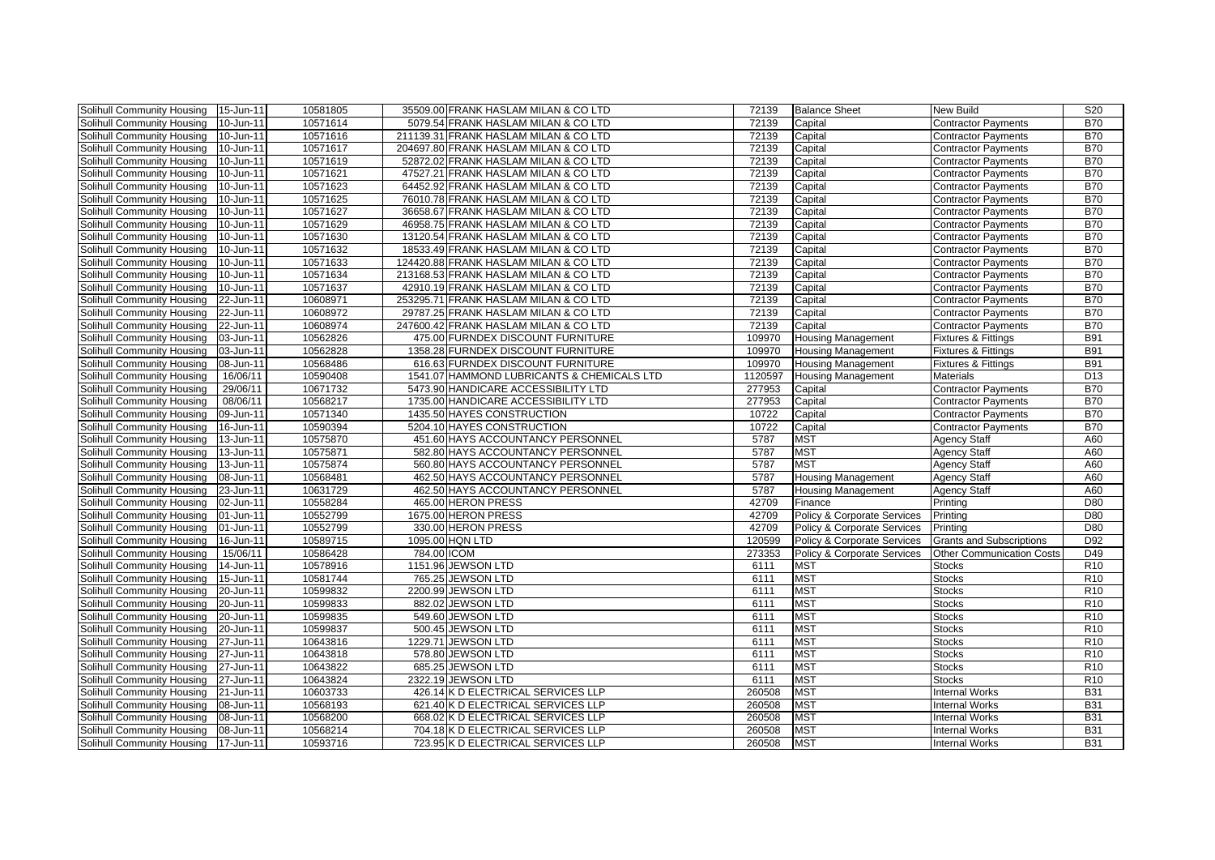| Solihull Community Housing        | 15-Jun-11 | 10581805 |             | 35509.00 FRANK HASLAM MILAN & COLTD        | 72139   | <b>Balance Sheet</b>        | <b>New Build</b>                 | S <sub>20</sub> |
|-----------------------------------|-----------|----------|-------------|--------------------------------------------|---------|-----------------------------|----------------------------------|-----------------|
| Solihull Community Housing        | 10-Jun-11 | 10571614 |             | 5079.54 FRANK HASLAM MILAN & CO LTD        | 72139   | Capital                     | <b>Contractor Payments</b>       | <b>B70</b>      |
| Solihull Community Housing        | 10-Jun-11 | 10571616 |             | 211139.31 FRANK HASLAM MILAN & CO LTD      | 72139   | Capital                     | <b>Contractor Payments</b>       | <b>B70</b>      |
| Solihull Community Housing        | 10-Jun-11 | 10571617 |             | 204697.80 FRANK HASLAM MILAN & CO LTD      | 72139   | Capital                     | <b>Contractor Payments</b>       | <b>B70</b>      |
| Solihull Community Housing        | 10-Jun-11 | 10571619 |             | 52872.02 FRANK HASLAM MILAN & CO LTD       | 72139   | Capital                     | <b>Contractor Payments</b>       | <b>B70</b>      |
| Solihull Community Housing        | 10-Jun-11 | 10571621 |             | 47527.21 FRANK HASLAM MILAN & CO LTD       | 72139   | Capital                     | <b>Contractor Payments</b>       | <b>B70</b>      |
| Solihull Community Housing        | 10-Jun-11 | 10571623 |             | 64452.92 FRANK HASLAM MILAN & CO LTD       | 72139   | Capital                     | <b>Contractor Payments</b>       | <b>B70</b>      |
| Solihull Community Housing        | 10-Jun-11 | 10571625 |             | 76010.78 FRANK HASLAM MILAN & CO LTD       | 72139   | Capital                     | <b>Contractor Payments</b>       | <b>B70</b>      |
| Solihull Community Housing        | 10-Jun-11 | 10571627 |             | 36658.67 FRANK HASLAM MILAN & CO LTD       | 72139   | Capital                     | <b>Contractor Payments</b>       | <b>B70</b>      |
| Solihull Community Housing        | 10-Jun-11 | 10571629 |             | 46958.75 FRANK HASLAM MILAN & CO LTD       | 72139   | Capital                     | <b>Contractor Payments</b>       | <b>B70</b>      |
| Solihull Community Housing        | 10-Jun-11 | 10571630 |             | 13120.54 FRANK HASLAM MILAN & CO LTD       | 72139   | Capital                     | <b>Contractor Payments</b>       | <b>B70</b>      |
| Solihull Community Housing        | 10-Jun-11 | 10571632 |             | 18533.49 FRANK HASLAM MILAN & CO LTD       | 72139   | Capital                     | <b>Contractor Payments</b>       | <b>B70</b>      |
| Solihull Community Housing        | 10-Jun-11 | 10571633 |             | 124420.88 FRANK HASLAM MILAN & CO LTD      | 72139   | Capital                     | Contractor Payments              | <b>B70</b>      |
| Solihull Community Housing        | 10-Jun-11 | 10571634 |             | 213168.53 FRANK HASLAM MILAN & COLTD       | 72139   | Capital                     | <b>Contractor Payments</b>       | <b>B70</b>      |
| Solihull Community Housing        | 10-Jun-11 | 10571637 |             | 42910.19 FRANK HASLAM MILAN & CO LTD       | 72139   | Capital                     | <b>Contractor Payments</b>       | <b>B70</b>      |
| Solihull Community Housing        | 22-Jun-11 | 10608971 |             | 253295.71 FRANK HASLAM MILAN & CO LTD      | 72139   | Capital                     | <b>Contractor Payments</b>       | <b>B70</b>      |
| Solihull Community Housing        | 22-Jun-11 | 10608972 |             | 29787.25 FRANK HASLAM MILAN & CO LTD       | 72139   | Capital                     | <b>Contractor Payments</b>       | <b>B70</b>      |
| Solihull Community Housing        | 22-Jun-11 | 10608974 |             | 247600.42 FRANK HASLAM MILAN & CO LTD      | 72139   | Capital                     | <b>Contractor Payments</b>       | <b>B70</b>      |
| Solihull Community Housing        | 03-Jun-11 | 10562826 |             | 475.00 FURNDEX DISCOUNT FURNITURE          | 109970  | <b>Housing Management</b>   | <b>Fixtures &amp; Fittings</b>   | <b>B91</b>      |
| Solihull Community Housing        | 03-Jun-11 | 10562828 |             | 1358.28 FURNDEX DISCOUNT FURNITURE         | 109970  | <b>Housing Management</b>   | <b>Fixtures &amp; Fittings</b>   | <b>B91</b>      |
| Solihull Community Housing        | 08-Jun-11 | 10568486 |             | 616.63 FURNDEX DISCOUNT FURNITURE          | 109970  | <b>Housing Management</b>   | <b>Fixtures &amp; Fittings</b>   | <b>B91</b>      |
| Solihull Community Housing        | 16/06/11  | 10590408 |             | 1541.07 HAMMOND LUBRICANTS & CHEMICALS LTD | 1120597 | <b>Housing Management</b>   | <b>Materials</b>                 | D13             |
| Solihull Community Housing        | 29/06/11  | 10671732 |             | 5473.90 HANDICARE ACCESSIBILITY LTD        | 277953  | Capital                     | <b>Contractor Payments</b>       | <b>B70</b>      |
| Solihull Community Housing        | 08/06/11  | 10568217 |             | 1735.00 HANDICARE ACCESSIBILITY LTD        | 277953  | Capital                     | <b>Contractor Payments</b>       | <b>B70</b>      |
| Solihull Community Housing        | 09-Jun-11 | 10571340 |             | 1435.50 HAYES CONSTRUCTION                 | 10722   | Capital                     | <b>Contractor Payments</b>       | <b>B70</b>      |
| <b>Solihull Community Housing</b> | 16-Jun-11 | 10590394 |             | 5204.10 HAYES CONSTRUCTION                 | 10722   | Capital                     | <b>Contractor Payments</b>       | <b>B70</b>      |
| <b>Solihull Community Housing</b> | 13-Jun-11 | 10575870 |             | 451.60 HAYS ACCOUNTANCY PERSONNEL          | 5787    | <b>MST</b>                  | <b>Agency Staff</b>              | A60             |
| Solihull Community Housing        | 13-Jun-11 | 10575871 |             | 582.80 HAYS ACCOUNTANCY PERSONNEL          | 5787    | <b>MST</b>                  | <b>Agency Staff</b>              | A60             |
| Solihull Community Housing        | 13-Jun-11 | 10575874 |             | 560.80 HAYS ACCOUNTANCY PERSONNEL          | 5787    | <b>MST</b>                  | <b>Agency Staff</b>              | A60             |
| Solihull Community Housing        | 08-Jun-11 | 10568481 |             | 462.50 HAYS ACCOUNTANCY PERSONNEL          | 5787    | <b>Housing Management</b>   | <b>Agency Staff</b>              | A60             |
| Solihull Community Housing        | 23-Jun-11 | 10631729 |             | 462.50 HAYS ACCOUNTANCY PERSONNEL          | 5787    | <b>Housing Management</b>   | <b>Agency Staff</b>              | A60             |
| Solihull Community Housing        | 02-Jun-11 | 10558284 |             | 465.00 HERON PRESS                         | 42709   | Finance                     | Printing                         | D80             |
| <b>Solihull Community Housing</b> | 01-Jun-11 | 10552799 |             | 1675.00 HERON PRESS                        | 42709   | Policy & Corporate Services | Printing                         | D80             |
| Solihull Community Housing        | 01-Jun-11 | 10552799 |             | 330.00 HERON PRESS                         | 42709   | Policy & Corporate Services | Printing                         | D80             |
| Solihull Community Housing        | 16-Jun-11 | 10589715 |             | 1095.00 HQN LTD                            | 120599  | Policy & Corporate Services | <b>Grants and Subscriptions</b>  | D92             |
| Solihull Community Housing        | 15/06/11  | 10586428 | 784.00 ICOM |                                            | 273353  | Policy & Corporate Services | <b>Other Communication Costs</b> | D49             |
| Solihull Community Housing        | 14-Jun-11 | 10578916 |             | 1151.96 JEWSON LTD                         | 6111    | <b>MST</b>                  | <b>Stocks</b>                    | R <sub>10</sub> |
| Solihull Community Housing        | 15-Jun-11 | 10581744 |             | 765.25 JEWSON LTD                          | 6111    | <b>MST</b>                  | <b>Stocks</b>                    | R <sub>10</sub> |
| Solihull Community Housing        | 20-Jun-11 | 10599832 |             | 2200.99 JEWSON LTD                         | 6111    | <b>MST</b>                  | <b>Stocks</b>                    | R10             |
| Solihull Community Housing        | 20-Jun-11 | 10599833 |             | 882.02 JEWSON LTD                          | 6111    | <b>MST</b>                  | <b>Stocks</b>                    | R <sub>10</sub> |
| Solihull Community Housing        | 20-Jun-11 | 10599835 |             | 549.60 JEWSON LTD                          | 6111    | <b>MST</b>                  | <b>Stocks</b>                    | R <sub>10</sub> |
| Solihull Community Housing        | 20-Jun-11 | 10599837 |             | 500.45 JEWSON LTD                          | 6111    | <b>MST</b>                  | <b>Stocks</b>                    | R <sub>10</sub> |
| Solihull Community Housing        | 27-Jun-11 | 10643816 |             | 1229.71 JEWSON LTD                         | 6111    | <b>MST</b>                  | <b>Stocks</b>                    | R <sub>10</sub> |
| Solihull Community Housing        | 27-Jun-11 | 10643818 |             | 578.80 JEWSON LTD                          | 6111    | <b>MST</b>                  | <b>Stocks</b>                    | R <sub>10</sub> |
| Solihull Community Housing        | 27-Jun-11 | 10643822 |             | 685.25 JEWSON LTD                          | 6111    | <b>MST</b>                  | <b>Stocks</b>                    | R <sub>10</sub> |
| Solihull Community Housing        | 27-Jun-11 | 10643824 |             | 2322.19 JEWSON LTD                         | 6111    | <b>MST</b>                  | <b>Stocks</b>                    | R <sub>10</sub> |
| Solihull Community Housing        | 21-Jun-11 | 10603733 |             | 426.14 K D ELECTRICAL SERVICES LLP         | 260508  | <b>MST</b>                  | <b>Internal Works</b>            | <b>B31</b>      |
| Solihull Community Housing        | 08-Jun-11 | 10568193 |             | 621.40 K D ELECTRICAL SERVICES LLP         | 260508  | <b>MST</b>                  | <b>Internal Works</b>            | <b>B31</b>      |
| Solihull Community Housing        | 08-Jun-11 | 10568200 |             | 668.02 K D ELECTRICAL SERVICES LLP         | 260508  | <b>MST</b>                  | <b>Internal Works</b>            | <b>B31</b>      |
| Solihull Community Housing        | 08-Jun-11 | 10568214 |             | 704.18 K D ELECTRICAL SERVICES LLP         | 260508  | <b>MST</b>                  | <b>Internal Works</b>            | <b>B31</b>      |
| Solihull Community Housing        | 17-Jun-11 | 10593716 |             | 723.95 K D ELECTRICAL SERVICES LLP         | 260508  | <b>MST</b>                  | <b>Internal Works</b>            | <b>B31</b>      |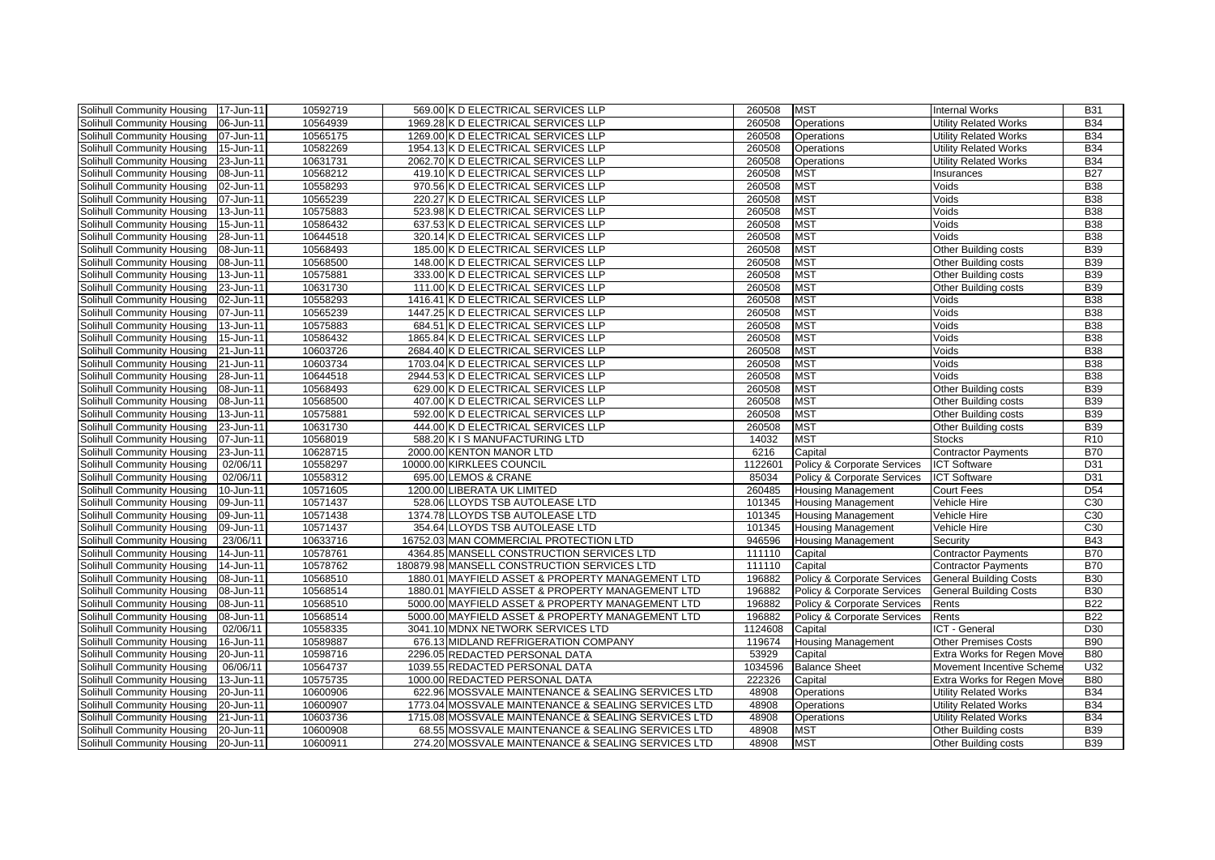| Solihull Community Housing        | 17-Jun-11 | 10592719 | 569.00 K D ELECTRICAL SERVICES LLP                  | 260508  | <b>MST</b>                  | <b>Internal Works</b>         | <b>B31</b>      |
|-----------------------------------|-----------|----------|-----------------------------------------------------|---------|-----------------------------|-------------------------------|-----------------|
| Solihull Community Housing        | 06-Jun-11 | 10564939 | 1969.28 K D ELECTRICAL SERVICES LLP                 | 260508  | <b>Operations</b>           | <b>Utility Related Works</b>  | <b>B34</b>      |
| Solihull Community Housing        | 07-Jun-11 | 10565175 | 1269.00 K D ELECTRICAL SERVICES LLP                 | 260508  | <b>Operations</b>           | <b>Utility Related Works</b>  | <b>B34</b>      |
| Solihull Community Housing        | 15-Jun-11 | 10582269 | 1954.13 K D ELECTRICAL SERVICES LLP                 | 260508  | Operations                  | <b>Utility Related Works</b>  | <b>B34</b>      |
| Solihull Community Housing        | 23-Jun-11 | 10631731 | 2062.70 K D ELECTRICAL SERVICES LLP                 | 260508  | Operations                  | <b>Utility Related Works</b>  | <b>B34</b>      |
| Solihull Community Housing        | 08-Jun-11 | 10568212 | 419.10 K D ELECTRICAL SERVICES LLP                  | 260508  | <b>MST</b>                  | Insurances                    | <b>B27</b>      |
| Solihull Community Housing        | 02-Jun-11 | 10558293 | 970.56 K D ELECTRICAL SERVICES LLP                  | 260508  | <b>MST</b>                  | Voids                         | <b>B38</b>      |
| Solihull Community Housing        | 07-Jun-11 | 10565239 | 220.27 K D ELECTRICAL SERVICES LLP                  | 260508  | <b>MST</b>                  | Voids                         | <b>B38</b>      |
| Solihull Community Housing        | 13-Jun-11 | 10575883 | 523.98 K D ELECTRICAL SERVICES LLP                  | 260508  | <b>MST</b>                  | Voids                         | <b>B38</b>      |
| Solihull Community Housing        | 15-Jun-11 | 10586432 | 637.53 K D ELECTRICAL SERVICES LLP                  | 260508  | <b>MST</b>                  | Voids                         | <b>B38</b>      |
| <b>Solihull Community Housing</b> | 28-Jun-11 | 10644518 | 320.14 K D ELECTRICAL SERVICES LLP                  | 260508  | <b>MST</b>                  | Voids                         | <b>B38</b>      |
| Solihull Community Housing        | 08-Jun-11 | 10568493 | 185.00 K D ELECTRICAL SERVICES LLP                  | 260508  | <b>MST</b>                  | Other Building costs          | <b>B39</b>      |
| Solihull Community Housing        | 08-Jun-11 | 10568500 | 148.00 K D ELECTRICAL SERVICES LLP                  | 260508  | <b>MST</b>                  | Other Building costs          | <b>B39</b>      |
| Solihull Community Housing        | 13-Jun-11 | 10575881 | 333.00 K D ELECTRICAL SERVICES LLP                  | 260508  | <b>MST</b>                  | Other Building costs          | <b>B39</b>      |
| Solihull Community Housing        | 23-Jun-11 | 10631730 | 111.00 K D ELECTRICAL SERVICES LLP                  | 260508  | <b>MST</b>                  | Other Building costs          | <b>B39</b>      |
| Solihull Community Housing        | 02-Jun-11 | 10558293 | 1416.41 K D ELECTRICAL SERVICES LLP                 | 260508  | <b>MST</b>                  | Voids                         | <b>B38</b>      |
| Solihull Community Housing        | 07-Jun-11 | 10565239 | 1447.25 K D ELECTRICAL SERVICES LLP                 | 260508  | <b>MST</b>                  | Voids                         | <b>B38</b>      |
| Solihull Community Housing        | 13-Jun-11 | 10575883 | 684.51 K D ELECTRICAL SERVICES LLP                  | 260508  | <b>MST</b>                  | Voids                         | <b>B38</b>      |
| Solihull Community Housing        | 15-Jun-11 | 10586432 | 1865.84 K D ELECTRICAL SERVICES LLP                 | 260508  | <b>MST</b>                  | Voids                         | <b>B38</b>      |
| Solihull Community Housing        | 21-Jun-11 | 10603726 | 2684.40 K D ELECTRICAL SERVICES LLP                 | 260508  | <b>MST</b>                  | Voids                         | <b>B38</b>      |
| Solihull Community Housing        | 21-Jun-11 | 10603734 | 1703.04 K D ELECTRICAL SERVICES LLP                 | 260508  | <b>MST</b>                  | Voids                         | <b>B38</b>      |
| Solihull Community Housing        | 28-Jun-11 | 10644518 | 2944.53 K D ELECTRICAL SERVICES LLP                 | 260508  | <b>MST</b>                  | Voids                         | <b>B38</b>      |
| Solihull Community Housing        | 08-Jun-11 | 10568493 | 629.00 K D ELECTRICAL SERVICES LLP                  | 260508  | <b>MST</b>                  | Other Building costs          | <b>B39</b>      |
| Solihull Community Housing        | 08-Jun-11 | 10568500 | 407.00 K D ELECTRICAL SERVICES LLP                  | 260508  | <b>MST</b>                  | Other Building costs          | <b>B39</b>      |
| Solihull Community Housing        | 13-Jun-11 | 10575881 | 592.00 K D ELECTRICAL SERVICES LLP                  | 260508  | <b>MST</b>                  | Other Building costs          | <b>B39</b>      |
| Solihull Community Housing        | 23-Jun-11 | 10631730 | 444.00 K D ELECTRICAL SERVICES LLP                  | 260508  | <b>MST</b>                  | Other Building costs          | <b>B39</b>      |
| Solihull Community Housing        | 07-Jun-11 | 10568019 | 588.20 K I S MANUFACTURING LTD                      | 14032   | <b>MST</b>                  | Stocks                        | R <sub>10</sub> |
| Solihull Community Housing        | 23-Jun-11 | 10628715 | 2000.00 KENTON MANOR LTD                            | 6216    | Capital                     | <b>Contractor Payments</b>    | <b>B70</b>      |
| Solihull Community Housing        | 02/06/11  | 10558297 | 10000.00 KIRKLEES COUNCIL                           | 1122601 | Policy & Corporate Services | <b>ICT Software</b>           | D31             |
| Solihull Community Housing        | 02/06/11  | 10558312 | 695.00 LEMOS & CRANE                                | 85034   | Policy & Corporate Services | <b>ICT Software</b>           | D31             |
| Solihull Community Housing        | 10-Jun-11 | 10571605 | 1200.00 LIBERATA UK LIMITED                         | 260485  | <b>Housing Management</b>   | <b>Court Fees</b>             | D <sub>54</sub> |
| Solihull Community Housing        | 09-Jun-11 | 10571437 | 528.06 LLOYDS TSB AUTOLEASE LTD                     | 101345  | <b>Housing Management</b>   | Vehicle Hire                  | C30             |
| Solihull Community Housing        | 09-Jun-11 | 10571438 | 1374.78 LLOYDS TSB AUTOLEASE LTD                    | 101345  | <b>Housing Management</b>   | Vehicle Hire                  | C30             |
| Solihull Community Housing        | 09-Jun-11 | 10571437 | 354.64 LLOYDS TSB AUTOLEASE LTD                     | 101345  | <b>Housing Management</b>   | Vehicle Hire                  | C30             |
| <b>Solihull Community Housing</b> | 23/06/11  | 10633716 | 16752.03 MAN COMMERCIAL PROTECTION LTD              | 946596  | <b>Housing Management</b>   | Security                      | <b>B43</b>      |
| Solihull Community Housing        | 14-Jun-11 | 10578761 | 4364.85 MANSELL CONSTRUCTION SERVICES LTD           | 111110  | Capital                     | <b>Contractor Payments</b>    | <b>B70</b>      |
| Solihull Community Housing        | 14-Jun-11 | 10578762 | 180879.98 MANSELL CONSTRUCTION SERVICES LTD         | 111110  | Capital                     | <b>Contractor Payments</b>    | <b>B70</b>      |
| Solihull Community Housing        | 08-Jun-11 | 10568510 | 1880.01 MAYFIELD ASSET & PROPERTY MANAGEMENT LTD    | 196882  | Policy & Corporate Services | <b>General Building Costs</b> | <b>B30</b>      |
| Solihull Community Housing        | 08-Jun-11 | 10568514 | 1880.01 MAYFIELD ASSET & PROPERTY MANAGEMENT LTD    | 196882  | Policy & Corporate Services | <b>General Building Costs</b> | <b>B30</b>      |
| Solihull Community Housing        | 08-Jun-11 | 10568510 | 5000.00 MAYFIELD ASSET & PROPERTY MANAGEMENT LTD    | 196882  | Policy & Corporate Services | Rents                         | <b>B22</b>      |
| <b>Solihull Community Housing</b> | 08-Jun-11 | 10568514 | 5000.00 MAYFIELD ASSET & PROPERTY MANAGEMENT LTD    | 196882  | Policy & Corporate Services | Rents                         | <b>B22</b>      |
| Solihull Community Housing        | 02/06/11  | 10558335 | 3041.10 MDNX NETWORK SERVICES LTD                   | 1124608 | Capital                     | ICT - General                 | D <sub>30</sub> |
| Solihull Community Housing        | 16-Jun-11 | 10589887 | 676.13 MIDLAND REFRIGERATION COMPANY                | 119674  | <b>Housing Management</b>   | <b>Other Premises Costs</b>   | <b>B90</b>      |
| Solihull Community Housing        | 20-Jun-11 | 10598716 | 2296.05 REDACTED PERSONAL DATA                      | 53929   | Capital                     | Extra Works for Regen Move    | <b>B80</b>      |
| Solihull Community Housing        | 06/06/11  | 10564737 | 1039.55 REDACTED PERSONAL DATA                      | 1034596 | <b>Balance Sheet</b>        | Movement Incentive Scheme     | U32             |
| Solihull Community Housing        | 13-Jun-11 | 10575735 | 1000.00 REDACTED PERSONAL DATA                      | 222326  | Capital                     | Extra Works for Regen Move    | <b>B80</b>      |
| Solihull Community Housing        | 20-Jun-11 | 10600906 | 622.96 MOSSVALE MAINTENANCE & SEALING SERVICES LTD  | 48908   | <b>Operations</b>           | <b>Utility Related Works</b>  | <b>B34</b>      |
| Solihull Community Housing        | 20-Jun-11 | 10600907 | 1773.04 MOSSVALE MAINTENANCE & SEALING SERVICES LTD | 48908   | Operations                  | <b>Utility Related Works</b>  | <b>B34</b>      |
| Solihull Community Housing        | 21-Jun-11 | 10603736 | 1715.08 MOSSVALE MAINTENANCE & SEALING SERVICES LTD | 48908   | Operations                  | <b>Utility Related Works</b>  | <b>B34</b>      |
| Solihull Community Housing        | 20-Jun-11 | 10600908 | 68.55 MOSSVALE MAINTENANCE & SEALING SERVICES LTD   | 48908   | <b>MST</b>                  | Other Building costs          | <b>B39</b>      |
| Solihull Community Housing        | 20-Jun-11 | 10600911 | 274.20 MOSSVALE MAINTENANCE & SEALING SERVICES LTD  | 48908   | <b>MST</b>                  | Other Building costs          | <b>B39</b>      |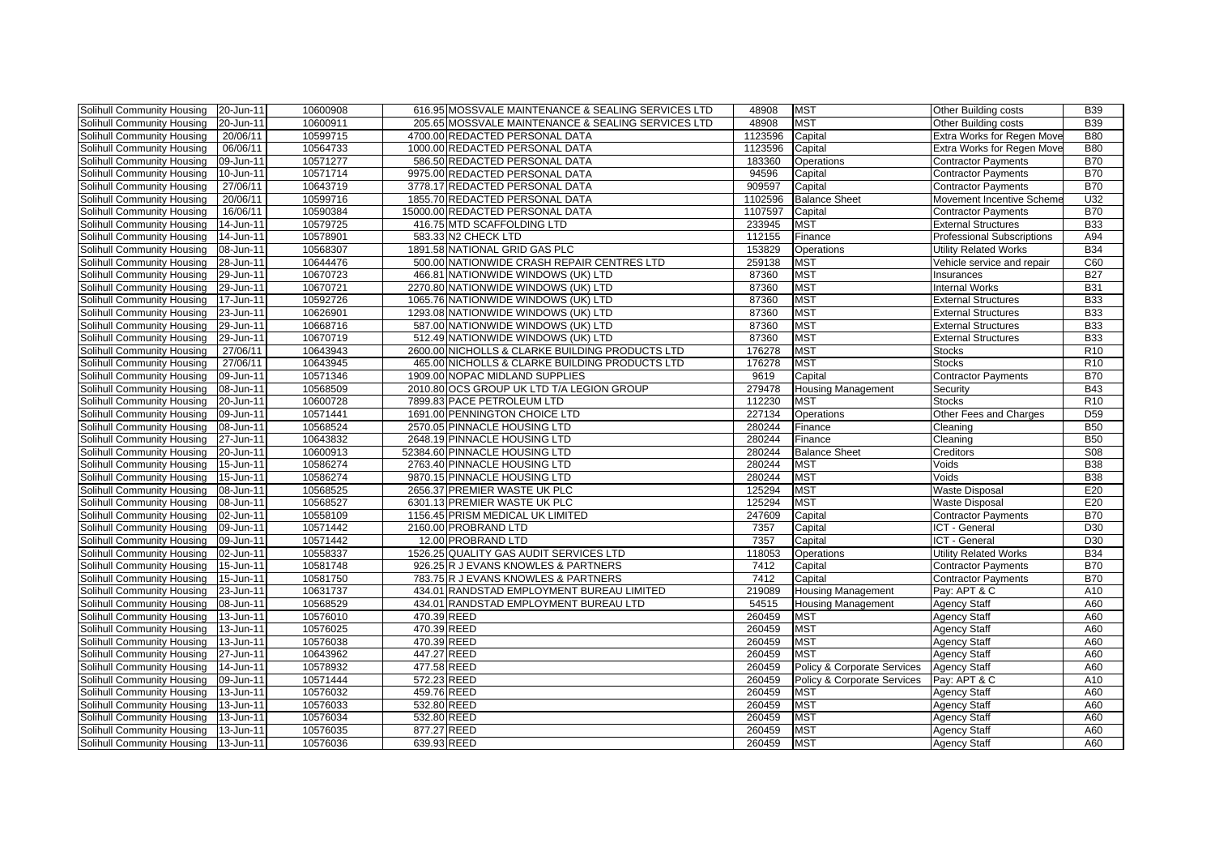| Solihull Community Housing | 20-Jun-11 | 10600908 |             | 616.95 MOSSVALE MAINTENANCE & SEALING SERVICES LTD | 48908   | <b>MST</b>                  | Other Building costs              | <b>B39</b>      |
|----------------------------|-----------|----------|-------------|----------------------------------------------------|---------|-----------------------------|-----------------------------------|-----------------|
| Solihull Community Housing | 20-Jun-11 | 10600911 |             | 205.65 MOSSVALE MAINTENANCE & SEALING SERVICES LTD | 48908   | <b>MST</b>                  | Other Building costs              | <b>B39</b>      |
| Solihull Community Housing | 20/06/11  | 10599715 |             | 4700.00 REDACTED PERSONAL DATA                     | 1123596 | Capital                     | Extra Works for Regen Move        | <b>B80</b>      |
| Solihull Community Housing | 06/06/11  | 10564733 |             | 1000.00 REDACTED PERSONAL DATA                     | 1123596 | Capital                     | Extra Works for Regen Move        | <b>B80</b>      |
| Solihull Community Housing | 09-Jun-11 | 10571277 |             | 586.50 REDACTED PERSONAL DATA                      | 183360  | <b>Operations</b>           | <b>Contractor Payments</b>        | <b>B70</b>      |
| Solihull Community Housing | 10-Jun-11 | 10571714 |             | 9975.00 REDACTED PERSONAL DATA                     | 94596   | Capital                     | <b>Contractor Payments</b>        | <b>B70</b>      |
| Solihull Community Housing | 27/06/11  | 10643719 |             | 3778.17 REDACTED PERSONAL DATA                     | 909597  | Capital                     | <b>Contractor Payments</b>        | <b>B70</b>      |
| Solihull Community Housing | 20/06/11  | 10599716 |             | 1855.70 REDACTED PERSONAL DATA                     | 1102596 | <b>Balance Sheet</b>        | Movement Incentive Scheme         | U32             |
| Solihull Community Housing | 16/06/11  | 10590384 |             | 15000.00 REDACTED PERSONAL DATA                    | 1107597 | Capital                     | <b>Contractor Payments</b>        | <b>B70</b>      |
| Solihull Community Housing | 14-Jun-11 | 10579725 |             | 416.75 MTD SCAFFOLDING LTD                         | 233945  | <b>MST</b>                  | <b>External Structures</b>        | <b>B33</b>      |
| Solihull Community Housing | 14-Jun-11 | 10578901 |             | 583.33 N2 CHECK LTD                                | 112155  | Finance                     | <b>Professional Subscriptions</b> | A94             |
| Solihull Community Housing | 08-Jun-11 | 10568307 |             | 1891.58 NATIONAL GRID GAS PLC                      | 153829  | <b>Operations</b>           | <b>Utility Related Works</b>      | <b>B34</b>      |
| Solihull Community Housing | 28-Jun-11 | 10644476 |             | 500.00 NATIONWIDE CRASH REPAIR CENTRES LTD         | 259138  | <b>MST</b>                  | Vehicle service and repair        | C60             |
| Solihull Community Housing | 29-Jun-11 | 10670723 |             | 466.81 NATIONWIDE WINDOWS (UK) LTD                 | 87360   | <b>MST</b>                  | Insurances                        | <b>B27</b>      |
| Solihull Community Housing | 29-Jun-11 | 10670721 |             | 2270.80 NATIONWIDE WINDOWS (UK) LTD                | 87360   | <b>MST</b>                  | <b>Internal Works</b>             | <b>B31</b>      |
| Solihull Community Housing | 17-Jun-11 | 10592726 |             | 1065.76 NATIONWIDE WINDOWS (UK) LTD                | 87360   | <b>MST</b>                  | <b>External Structures</b>        | <b>B33</b>      |
| Solihull Community Housing | 23-Jun-11 | 10626901 |             | 1293.08 NATIONWIDE WINDOWS (UK) LTD                | 87360   | <b>MST</b>                  | <b>External Structures</b>        | <b>B33</b>      |
| Solihull Community Housing | 29-Jun-11 | 10668716 |             | 587.00 NATIONWIDE WINDOWS (UK) LTD                 | 87360   | <b>MST</b>                  | <b>External Structures</b>        | <b>B33</b>      |
| Solihull Community Housing | 29-Jun-11 | 10670719 |             | 512.49 NATIONWIDE WINDOWS (UK) LTD                 | 87360   | <b>MST</b>                  | <b>External Structures</b>        | <b>B33</b>      |
| Solihull Community Housing | 27/06/11  | 10643943 |             | 2600.00 NICHOLLS & CLARKE BUILDING PRODUCTS LTD    | 176278  | <b>MST</b>                  | <b>Stocks</b>                     | R <sub>10</sub> |
| Solihull Community Housing | 27/06/11  | 10643945 |             | 465.00 NICHOLLS & CLARKE BUILDING PRODUCTS LTD     | 176278  | <b>MST</b>                  | <b>Stocks</b>                     | R <sub>10</sub> |
| Solihull Community Housing | 09-Jun-11 | 10571346 |             | 1909.00 NOPAC MIDLAND SUPPLIES                     | 9619    | Capital                     | <b>Contractor Payments</b>        | <b>B70</b>      |
| Solihull Community Housing | 08-Jun-11 | 10568509 |             | 2010.80 OCS GROUP UK LTD T/A LEGION GROUP          | 279478  | <b>Housing Management</b>   | Security                          | <b>B43</b>      |
| Solihull Community Housing | 20-Jun-11 | 10600728 |             | 7899.83 PACE PETROLEUM LTD                         | 112230  | <b>MST</b>                  | <b>Stocks</b>                     | R <sub>10</sub> |
| Solihull Community Housing | 09-Jun-11 | 10571441 |             | 1691.00 PENNINGTON CHOICE LTD                      | 227134  | Operations                  | Other Fees and Charges            | D <sub>59</sub> |
| Solihull Community Housing | 08-Jun-11 | 10568524 |             | 2570.05 PINNACLE HOUSING LTD                       | 280244  | Finance                     | Cleaning                          | <b>B50</b>      |
| Solihull Community Housing | 27-Jun-11 | 10643832 |             | 2648.19 PINNACLE HOUSING LTD                       | 280244  | Finance                     | Cleaning                          | <b>B50</b>      |
| Solihull Community Housing | 20-Jun-11 | 10600913 |             | 52384.60 PINNACLE HOUSING LTD                      | 280244  | <b>Balance Sheet</b>        | Creditors                         | S <sub>08</sub> |
| Solihull Community Housing | 15-Jun-11 | 10586274 |             | 2763.40 PINNACLE HOUSING LTD                       | 280244  | <b>MST</b>                  | Voids                             | <b>B38</b>      |
| Solihull Community Housing | 15-Jun-11 | 10586274 |             | 9870.15 PINNACLE HOUSING LTD                       | 280244  | <b>MST</b>                  | Voids                             | <b>B38</b>      |
| Solihull Community Housing | 08-Jun-11 | 10568525 |             | 2656.37 PREMIER WASTE UK PLC                       | 125294  | <b>MST</b>                  | <b>Waste Disposal</b>             | E20             |
| Solihull Community Housing | 08-Jun-11 | 10568527 |             | 6301.13 PREMIER WASTE UK PLC                       | 125294  | <b>MST</b>                  | <b>Waste Disposal</b>             | E20             |
| Solihull Community Housing | 02-Jun-11 | 10558109 |             | 1156.45 PRISM MEDICAL UK LIMITED                   | 247609  | Capital                     | <b>Contractor Payments</b>        | <b>B70</b>      |
| Solihull Community Housing | 09-Jun-11 | 10571442 |             | 2160.00 PROBRAND LTD                               | 7357    | Capital                     | ICT - General                     | D <sub>30</sub> |
| Solihull Community Housing | 09-Jun-11 | 10571442 |             | 12.00 PROBRAND LTD                                 | 7357    | Capital                     | ICT - General                     | D30             |
| Solihull Community Housing | 02-Jun-11 | 10558337 |             | 1526.25 QUALITY GAS AUDIT SERVICES LTD             | 118053  | <b>Operations</b>           | <b>Utility Related Works</b>      | <b>B34</b>      |
| Solihull Community Housing | 15-Jun-11 | 10581748 |             | 926.25 R J EVANS KNOWLES & PARTNERS                | 7412    | Capital                     | <b>Contractor Payments</b>        | <b>B70</b>      |
| Solihull Community Housing | 15-Jun-11 | 10581750 |             | 783.75 R J EVANS KNOWLES & PARTNERS                | 7412    | Capital                     | <b>Contractor Payments</b>        | <b>B70</b>      |
| Solihull Community Housing | 23-Jun-11 | 10631737 |             | 434.01 RANDSTAD EMPLOYMENT BUREAU LIMITED          | 219089  | <b>Housing Management</b>   | Pay: APT & C                      | A10             |
| Solihull Community Housing | 08-Jun-11 | 10568529 |             | 434.01 RANDSTAD EMPLOYMENT BUREAU LTD              | 54515   | <b>Housing Management</b>   | <b>Agency Staff</b>               | A60             |
| Solihull Community Housing | 13-Jun-11 | 10576010 | 470.39 REED |                                                    | 260459  | <b>MST</b>                  | <b>Agency Staff</b>               | A60             |
| Solihull Community Housing | 13-Jun-11 | 10576025 | 470.39 REED |                                                    | 260459  | <b>MST</b>                  | <b>Agency Staff</b>               | A60             |
| Solihull Community Housing | 13-Jun-11 | 10576038 | 470.39 REED |                                                    | 260459  | <b>MST</b>                  | <b>Agency Staff</b>               | A60             |
| Solihull Community Housing | 27-Jun-11 | 10643962 | 447.27 REED |                                                    | 260459  | <b>MST</b>                  | <b>Agency Staff</b>               | A60             |
| Solihull Community Housing | 14-Jun-11 | 10578932 | 477.58 REED |                                                    | 260459  | Policy & Corporate Services | <b>Agency Staff</b>               | A60             |
| Solihull Community Housing | 09-Jun-11 | 10571444 | 572.23 REED |                                                    | 260459  | Policy & Corporate Services | Pay: APT & C                      | A10             |
| Solihull Community Housing | 13-Jun-11 | 10576032 | 459.76 REED |                                                    | 260459  | <b>MST</b>                  | <b>Agency Staff</b>               | A60             |
| Solihull Community Housing | 13-Jun-11 | 10576033 | 532.80 REED |                                                    | 260459  | <b>MST</b>                  | <b>Agency Staff</b>               | A60             |
| Solihull Community Housing | 13-Jun-11 | 10576034 | 532.80 REED |                                                    | 260459  | <b>MST</b>                  | <b>Agency Staff</b>               | A60             |
| Solihull Community Housing | 13-Jun-11 | 10576035 | 877.27 REED |                                                    | 260459  | <b>MST</b>                  | <b>Agency Staff</b>               | A60             |
| Solihull Community Housing | 13-Jun-11 | 10576036 | 639.93 REED |                                                    | 260459  | <b>MST</b>                  | <b>Agency Staff</b>               | A60             |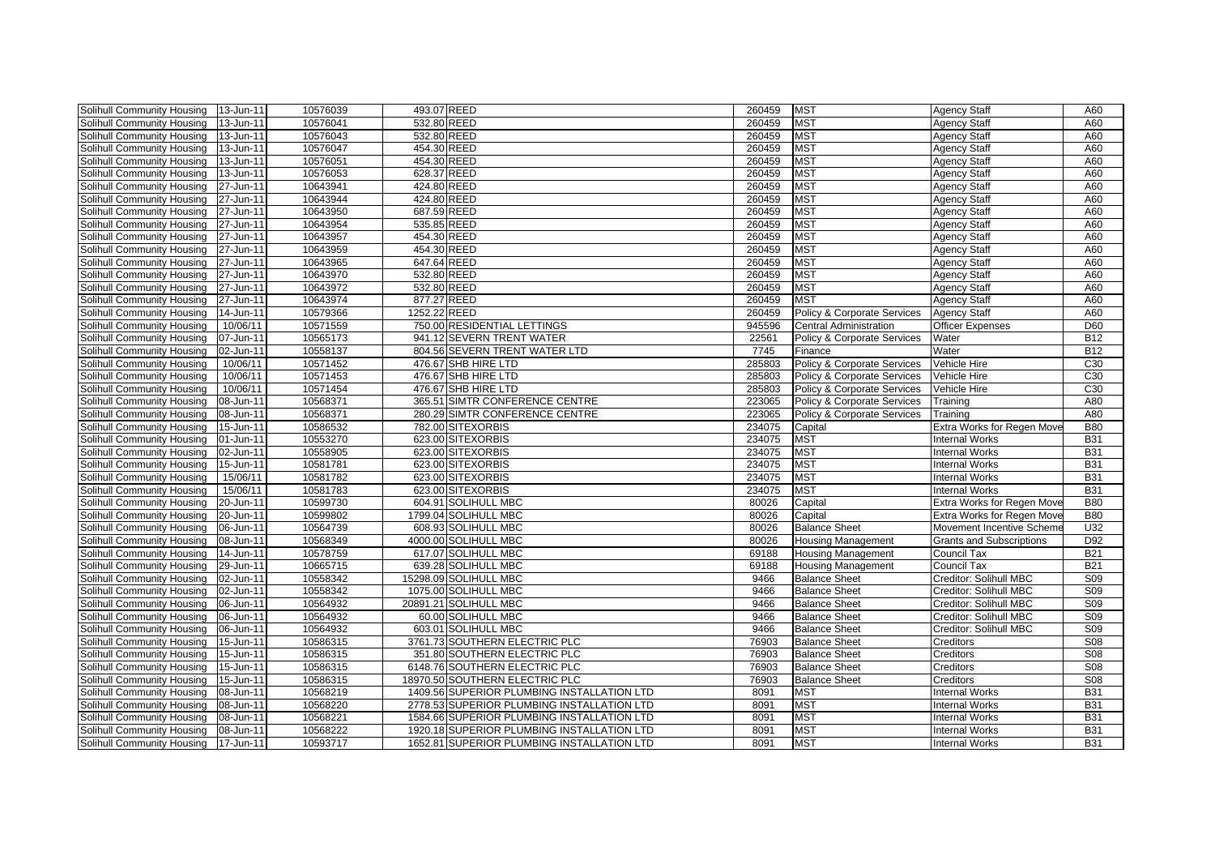| Solihull Community Housing        | 13-Jun-11 | 10576039 | 493.07 REED  |                                            | 260459 | <b>MST</b>                             | <b>Agency Staff</b>             | A60             |
|-----------------------------------|-----------|----------|--------------|--------------------------------------------|--------|----------------------------------------|---------------------------------|-----------------|
| Solihull Community Housing        | 13-Jun-11 | 10576041 | 532.80 REED  |                                            | 260459 | <b>MST</b>                             | Agency Staff                    | A60             |
| Solihull Community Housing        | 13-Jun-11 | 10576043 | 532.80 REED  |                                            | 260459 | <b>MST</b>                             | <b>Agency Staff</b>             | A60             |
| Solihull Community Housing        | 13-Jun-11 | 10576047 | 454.30 REED  |                                            | 260459 | <b>MST</b>                             | <b>Agency Staff</b>             | A60             |
| Solihull Community Housing        | 13-Jun-11 | 10576051 | 454.30 REED  |                                            | 260459 | <b>MST</b>                             | <b>Agency Staff</b>             | A60             |
| Solihull Community Housing        | 13-Jun-11 | 10576053 | 628.37 REED  |                                            | 260459 | <b>MST</b>                             | Agency Staff                    | A60             |
| Solihull Community Housing        | 27-Jun-11 | 10643941 | 424.80 REED  |                                            | 260459 | <b>MST</b>                             | Agency Staff                    | A60             |
| Solihull Community Housing        | 27-Jun-11 | 10643944 | 424.80 REED  |                                            | 260459 | <b>MST</b>                             | <b>Agency Staff</b>             | A60             |
| Solihull Community Housing        | 27-Jun-11 | 10643950 | 687.59 REED  |                                            | 260459 | <b>MST</b>                             | Agency Staff                    | A60             |
| Solihull Community Housing        | 27-Jun-11 | 10643954 | 535.85 REED  |                                            | 260459 | <b>MST</b>                             | <b>Agency Staff</b>             | A60             |
| <b>Solihull Community Housing</b> | 27-Jun-11 | 10643957 | 454.30 REED  |                                            | 260459 | <b>MST</b>                             | <b>Agency Staff</b>             | A60             |
| Solihull Community Housing        | 27-Jun-11 | 10643959 | 454.30 REED  |                                            | 260459 | <b>MST</b>                             | <b>Agency Staff</b>             | A60             |
| Solihull Community Housing        | 27-Jun-11 | 10643965 | 647.64 REED  |                                            | 260459 | <b>MST</b>                             | Agency Staff                    | A60             |
| Solihull Community Housing        | 27-Jun-11 | 10643970 | 532.80 REED  |                                            | 260459 | <b>MST</b>                             | Agency Staff                    | A60             |
| Solihull Community Housing        | 27-Jun-11 | 10643972 | 532.80 REED  |                                            | 260459 | <b>MST</b>                             | Agency Staff                    | A60             |
| Solihull Community Housing        | 27-Jun-11 | 10643974 | 877.27 REED  |                                            | 260459 | <b>MST</b>                             | Agency Staff                    | A60             |
| Solihull Community Housing        | 14-Jun-11 | 10579366 | 1252.22 REED |                                            | 260459 | Policy & Corporate Services            | <b>Agency Staff</b>             | A60             |
| Solihull Community Housing        | 10/06/11  | 10571559 |              | 750.00 RESIDENTIAL LETTINGS                | 945596 | Central Administration                 | <b>Officer Expenses</b>         | D60             |
| Solihull Community Housing        | 07-Jun-11 | 10565173 |              | 941.12 SEVERN TRENT WATER                  | 22561  | Policy & Corporate Services            | Water                           | <b>B12</b>      |
| Solihull Community Housing        | 02-Jun-11 | 10558137 |              | 804.56 SEVERN TRENT WATER LTD              | 7745   | Finance                                | Water                           | <b>B12</b>      |
| Solihull Community Housing        | 10/06/11  | 10571452 |              | 476.67 SHB HIRE LTD                        | 285803 | Policy & Corporate Services            | Vehicle Hire                    | C <sub>30</sub> |
| Solihull Community Housing        | 10/06/11  | 10571453 |              | 476.67 SHB HIRE LTD                        | 285803 | <b>Policy &amp; Corporate Services</b> | Vehicle Hire                    | C30             |
| Solihull Community Housing        | 10/06/11  | 10571454 |              | 476.67 SHB HIRE LTD                        | 285803 | Policy & Corporate Services            | Vehicle Hire                    | C <sub>30</sub> |
| Solihull Community Housing        | 08-Jun-11 | 10568371 |              | 365.51 SIMTR CONFERENCE CENTRE             | 223065 | Policy & Corporate Services            | Training                        | A80             |
| Solihull Community Housing        | 08-Jun-11 | 10568371 |              | 280.29 SIMTR CONFERENCE CENTRE             | 223065 | Policy & Corporate Services            | Training                        | A80             |
| Solihull Community Housing        | 15-Jun-11 | 10586532 |              | 782.00 SITEXORBIS                          | 234075 | Capital                                | Extra Works for Regen Move      | <b>B80</b>      |
| Solihull Community Housing        | 01-Jun-11 | 10553270 |              | 623.00 SITEXORBIS                          | 234075 | <b>MST</b>                             | <b>Internal Works</b>           | <b>B31</b>      |
| Solihull Community Housing        | 02-Jun-11 | 10558905 |              | 623.00 SITEXORBIS                          | 234075 | <b>MST</b>                             | <b>Internal Works</b>           | <b>B31</b>      |
| Solihull Community Housing        | 15-Jun-11 | 10581781 |              | 623.00 SITEXORBIS                          | 234075 | <b>MST</b>                             | <b>Internal Works</b>           | <b>B31</b>      |
| Solihull Community Housing        | 15/06/11  | 10581782 |              | 623.00 SITEXORBIS                          | 234075 | <b>MST</b>                             | <b>Internal Works</b>           | <b>B31</b>      |
| Solihull Community Housing        | 15/06/11  | 10581783 |              | 623.00 SITEXORBIS                          | 234075 | <b>MST</b>                             | <b>Internal Works</b>           | <b>B31</b>      |
| Solihull Community Housing        | 20-Jun-11 | 10599730 |              | 604.91 SOLIHULL MBC                        | 80026  | Capital                                | Extra Works for Regen Move      | <b>B80</b>      |
| Solihull Community Housing        | 20-Jun-11 | 10599802 |              | 1799.04 SOLIHULL MBC                       | 80026  | Capital                                | Extra Works for Regen Move      | <b>B80</b>      |
| Solihull Community Housing        | 06-Jun-11 | 10564739 |              | 608.93 SOLIHULL MBC                        | 80026  | <b>Balance Sheet</b>                   | Movement Incentive Scheme       | U32             |
| Solihull Community Housing        | 08-Jun-11 | 10568349 |              | 4000.00 SOLIHULL MBC                       | 80026  | <b>Housing Management</b>              | <b>Grants and Subscriptions</b> | D92             |
| Solihull Community Housing        | 14-Jun-11 | 10578759 |              | 617.07 SOLIHULL MBC                        | 69188  | <b>Housing Management</b>              | Council Tax                     | <b>B21</b>      |
| Solihull Community Housing        | 29-Jun-11 | 10665715 |              | 639.28 SOLIHULL MBC                        | 69188  | <b>Housing Management</b>              | <b>Council Tax</b>              | <b>B21</b>      |
| Solihull Community Housing        | 02-Jun-11 | 10558342 |              | 15298.09 SOLIHULL MBC                      | 9466   | <b>Balance Sheet</b>                   | Creditor: Solihull MBC          | <b>S09</b>      |
| Solihull Community Housing        | 02-Jun-11 | 10558342 |              | 1075.00 SOLIHULL MBC                       | 9466   | <b>Balance Sheet</b>                   | Creditor: Solihull MBC          | S <sub>09</sub> |
| Solihull Community Housing        | 06-Jun-11 | 10564932 |              | 20891.21 SOLIHULL MBC                      | 9466   | <b>Balance Sheet</b>                   | Creditor: Solihull MBC          | S09             |
| <b>Solihull Community Housing</b> | 06-Jun-11 | 10564932 |              | 60.00 SOLIHULL MBC                         | 9466   | <b>Balance Sheet</b>                   | Creditor: Solihull MBC          | S <sub>09</sub> |
| Solihull Community Housing        | 06-Jun-11 | 10564932 |              | 603.01 SOLIHULL MBC                        | 9466   | <b>Balance Sheet</b>                   | Creditor: Solihull MBC          | S <sub>09</sub> |
| Solihull Community Housing        | 15-Jun-11 | 10586315 |              | 3761.73 SOUTHERN ELECTRIC PLC              | 76903  | <b>Balance Sheet</b>                   | Creditors                       | S <sub>08</sub> |
| Solihull Community Housing        | 15-Jun-11 | 10586315 |              | 351.80 SOUTHERN ELECTRIC PLC               | 76903  | <b>Balance Sheet</b>                   | Creditors                       | <b>S08</b>      |
| Solihull Community Housing        | 15-Jun-11 | 10586315 |              | 6148.76 SOUTHERN ELECTRIC PLC              | 76903  | <b>Balance Sheet</b>                   | Creditors                       | <b>S08</b>      |
| Solihull Community Housing        | 15-Jun-11 | 10586315 |              | 18970.50 SOUTHERN ELECTRIC PLC             | 76903  | <b>Balance Sheet</b>                   | Creditors                       | <b>S08</b>      |
| Solihull Community Housing        | 08-Jun-11 | 10568219 |              | 1409.56 SUPERIOR PLUMBING INSTALLATION LTD | 8091   | <b>MST</b>                             | <b>Internal Works</b>           | <b>B31</b>      |
| Solihull Community Housing        | 08-Jun-11 | 10568220 |              | 2778.53 SUPERIOR PLUMBING INSTALLATION LTD | 8091   | <b>MST</b>                             | <b>Internal Works</b>           | <b>B31</b>      |
|                                   |           |          |              |                                            |        |                                        |                                 |                 |
| Solihull Community Housing        | 08-Jun-11 | 10568221 |              | 1584.66 SUPERIOR PLUMBING INSTALLATION LTD | 8091   | <b>MST</b>                             | <b>Internal Works</b>           | <b>B31</b>      |
| Solihull Community Housing        | 08-Jun-11 | 10568222 |              | 1920.18 SUPERIOR PLUMBING INSTALLATION LTD | 8091   | <b>MST</b>                             | <b>Internal Works</b>           | <b>B31</b>      |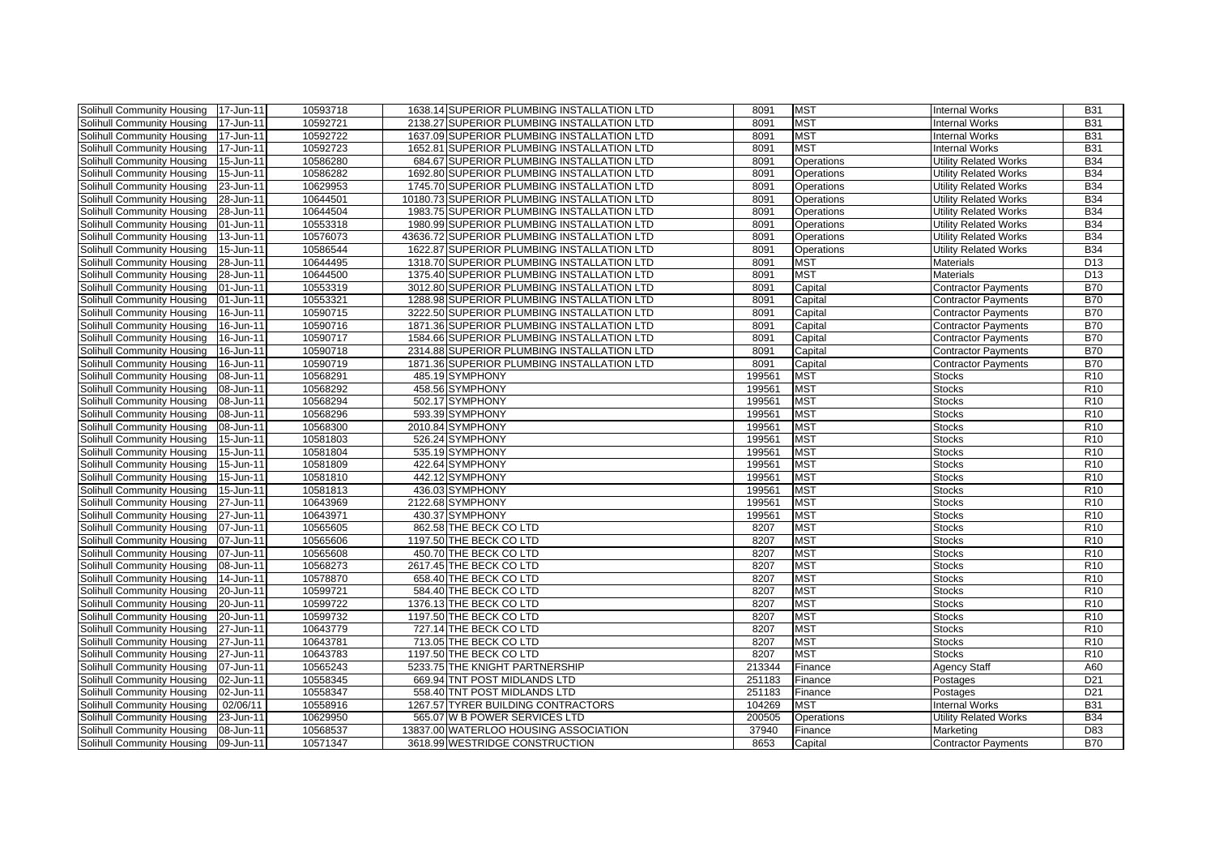| Solihull Community Housing | 17-Jun-11 | 10593718 | 1638.14 SUPERIOR PLUMBING INSTALLATION LTD  | 8091   | <b>MST</b>        | <b>Internal Works</b>        | <b>B31</b>      |
|----------------------------|-----------|----------|---------------------------------------------|--------|-------------------|------------------------------|-----------------|
| Solihull Community Housing | 17-Jun-11 | 10592721 | 2138.27 SUPERIOR PLUMBING INSTALLATION LTD  | 8091   | <b>MST</b>        | <b>Internal Works</b>        | <b>B31</b>      |
| Solihull Community Housing | 17-Jun-11 | 10592722 | 1637.09 SUPERIOR PLUMBING INSTALLATION LTD  | 8091   | <b>MST</b>        | <b>Internal Works</b>        | <b>B31</b>      |
| Solihull Community Housing | 17-Jun-11 | 10592723 | 1652.81 SUPERIOR PLUMBING INSTALLATION LTD  | 8091   | <b>MST</b>        | <b>Internal Works</b>        | <b>B31</b>      |
| Solihull Community Housing | 15-Jun-11 | 10586280 | 684.67 SUPERIOR PLUMBING INSTALLATION LTD   | 8091   | <b>Operations</b> | <b>Utility Related Works</b> | <b>B34</b>      |
| Solihull Community Housing | 15-Jun-11 | 10586282 | 1692.80 SUPERIOR PLUMBING INSTALLATION LTD  | 8091   | Operations        | <b>Utility Related Works</b> | <b>B34</b>      |
| Solihull Community Housing | 23-Jun-11 | 10629953 | 1745.70 SUPERIOR PLUMBING INSTALLATION LTD  | 8091   | <b>Operations</b> | <b>Utility Related Works</b> | <b>B34</b>      |
| Solihull Community Housing | 28-Jun-11 | 10644501 | 10180.73 SUPERIOR PLUMBING INSTALLATION LTD | 8091   | Operations        | <b>Utility Related Works</b> | <b>B34</b>      |
| Solihull Community Housing | 28-Jun-11 | 10644504 | 1983.75 SUPERIOR PLUMBING INSTALLATION LTD  | 8091   | Operations        | <b>Utility Related Works</b> | <b>B34</b>      |
| Solihull Community Housing | 01-Jun-11 | 10553318 | 1980.99 SUPERIOR PLUMBING INSTALLATION LTD  | 8091   | Operations        | <b>Utility Related Works</b> | <b>B34</b>      |
| Solihull Community Housing | 13-Jun-11 | 10576073 | 43636.72 SUPERIOR PLUMBING INSTALLATION LTD | 8091   | Operations        | <b>Utility Related Works</b> | <b>B34</b>      |
| Solihull Community Housing | 15-Jun-11 | 10586544 | 1622.87 SUPERIOR PLUMBING INSTALLATION LTD  | 8091   | Operations        | <b>Utility Related Works</b> | <b>B34</b>      |
| Solihull Community Housing | 28-Jun-11 | 10644495 | 1318.70 SUPERIOR PLUMBING INSTALLATION LTD  | 8091   | <b>MST</b>        | <b>Materials</b>             | D <sub>13</sub> |
| Solihull Community Housing | 28-Jun-11 | 10644500 | 1375.40 SUPERIOR PLUMBING INSTALLATION LTD  | 8091   | <b>MST</b>        | <b>Materials</b>             | D <sub>13</sub> |
| Solihull Community Housing | 01-Jun-11 | 10553319 | 3012.80 SUPERIOR PLUMBING INSTALLATION LTD  | 8091   | Capital           | <b>Contractor Payments</b>   | <b>B70</b>      |
| Solihull Community Housing | 01-Jun-11 | 10553321 | 1288.98 SUPERIOR PLUMBING INSTALLATION LTD  | 8091   | Capital           | <b>Contractor Payments</b>   | <b>B70</b>      |
| Solihull Community Housing | 16-Jun-11 | 10590715 | 3222.50 SUPERIOR PLUMBING INSTALLATION LTD  | 8091   | Capital           | <b>Contractor Payments</b>   | <b>B70</b>      |
| Solihull Community Housing | 16-Jun-11 | 10590716 | 1871.36 SUPERIOR PLUMBING INSTALLATION LTD  | 8091   | Capital           | <b>Contractor Payments</b>   | <b>B70</b>      |
| Solihull Community Housing | 16-Jun-11 | 10590717 | 1584.66 SUPERIOR PLUMBING INSTALLATION LTD  | 8091   | Capital           | <b>Contractor Payments</b>   | <b>B70</b>      |
| Solihull Community Housing | 16-Jun-11 | 10590718 | 2314.88 SUPERIOR PLUMBING INSTALLATION LTD  | 8091   | Capital           | <b>Contractor Payments</b>   | <b>B70</b>      |
| Solihull Community Housing | 16-Jun-11 | 10590719 | 1871.36 SUPERIOR PLUMBING INSTALLATION LTD  | 8091   | Capital           | <b>Contractor Payments</b>   | <b>B70</b>      |
| Solihull Community Housing | 08-Jun-11 | 10568291 | 485.19 SYMPHONY                             | 199561 | <b>MST</b>        | Stocks                       | R <sub>10</sub> |
| Solihull Community Housing | 08-Jun-11 | 10568292 | 458.56 SYMPHONY                             | 199561 | <b>MST</b>        | <b>Stocks</b>                | R <sub>10</sub> |
| Solihull Community Housing | 08-Jun-11 | 10568294 | 502.17 SYMPHONY                             | 199561 | <b>MST</b>        | <b>Stocks</b>                | R <sub>10</sub> |
| Solihull Community Housing | 08-Jun-11 | 10568296 | 593.39 SYMPHONY                             | 199561 | <b>MST</b>        | Stocks                       | R <sub>10</sub> |
| Solihull Community Housing | 08-Jun-11 | 10568300 | 2010.84 SYMPHONY                            | 199561 | <b>MST</b>        | <b>Stocks</b>                | R <sub>10</sub> |
| Solihull Community Housing | 15-Jun-11 | 10581803 | 526.24 SYMPHONY                             | 199561 | <b>MST</b>        | <b>Stocks</b>                | R10             |
| Solihull Community Housing | 15-Jun-11 | 10581804 | 535.19 SYMPHONY                             | 199561 | <b>MST</b>        | <b>Stocks</b>                | R <sub>10</sub> |
| Solihull Community Housing | 15-Jun-11 | 10581809 | 422.64 SYMPHONY                             | 199561 | <b>MST</b>        | <b>Stocks</b>                | R <sub>10</sub> |
| Solihull Community Housing | 15-Jun-11 | 10581810 | 442.12 SYMPHONY                             | 199561 | <b>MST</b>        | <b>Stocks</b>                | R10             |
| Solihull Community Housing | 15-Jun-11 | 10581813 | 436.03 SYMPHONY                             | 199561 | <b>MST</b>        | <b>Stocks</b>                | R <sub>10</sub> |
| Solihull Community Housing | 27-Jun-11 | 10643969 | 2122.68 SYMPHONY                            | 199561 | <b>MST</b>        | <b>Stocks</b>                | R <sub>10</sub> |
| Solihull Community Housing | 27-Jun-11 | 10643971 | 430.37 SYMPHONY                             | 199561 | <b>MST</b>        | <b>Stocks</b>                | R <sub>10</sub> |
| Solihull Community Housing | 07-Jun-11 | 10565605 | 862.58 THE BECK CO LTD                      | 8207   | <b>MST</b>        | <b>Stocks</b>                | R <sub>10</sub> |
| Solihull Community Housing | 07-Jun-11 | 10565606 | 1197.50 THE BECK CO LTD                     | 8207   | <b>MST</b>        | <b>Stocks</b>                | R <sub>10</sub> |
| Solihull Community Housing | 07-Jun-11 | 10565608 | 450.70 THE BECK CO LTD                      | 8207   | <b>MST</b>        | Stocks                       | R <sub>10</sub> |
| Solihull Community Housing | 08-Jun-11 | 10568273 | 2617.45 THE BECK CO LTD                     | 8207   | <b>MST</b>        | <b>Stocks</b>                | R <sub>10</sub> |
| Solihull Community Housing | 14-Jun-11 | 10578870 | 658.40 THE BECK CO LTD                      | 8207   | <b>MST</b>        | Stocks                       | R <sub>10</sub> |
| Solihull Community Housing | 20-Jun-11 | 10599721 | 584.40 THE BECK CO LTD                      | 8207   | <b>MST</b>        | <b>Stocks</b>                | R <sub>10</sub> |
| Solihull Community Housing | 20-Jun-11 | 10599722 | 1376.13 THE BECK CO LTD                     | 8207   | <b>MST</b>        | <b>Stocks</b>                | R <sub>10</sub> |
| Solihull Community Housing | 20-Jun-11 | 10599732 | 1197.50 THE BECK CO LTD                     | 8207   | <b>MST</b>        | <b>Stocks</b>                | R <sub>10</sub> |
| Solihull Community Housing | 27-Jun-11 | 10643779 | 727.14 THE BECK CO LTD                      | 8207   | <b>MST</b>        | <b>Stocks</b>                | R <sub>10</sub> |
| Solihull Community Housing | 27-Jun-11 | 10643781 | 713.05 THE BECK CO LTD                      | 8207   | <b>MST</b>        | <b>Stocks</b>                | R10             |
| Solihull Community Housing | 27-Jun-11 | 10643783 | 1197.50 THE BECK CO LTD                     | 8207   | <b>MST</b>        | <b>Stocks</b>                | R <sub>10</sub> |
| Solihull Community Housing | 07-Jun-11 | 10565243 | 5233.75 THE KNIGHT PARTNERSHIP              | 213344 | Finance           | <b>Agency Staff</b>          | A60             |
| Solihull Community Housing | 02-Jun-11 | 10558345 | 669.94 TNT POST MIDLANDS LTD                | 251183 | Finance           | Postages                     | D <sub>21</sub> |
| Solihull Community Housing | 02-Jun-11 | 10558347 | 558.40 TNT POST MIDLANDS LTD                | 251183 | Finance           | Postages                     | D <sub>21</sub> |
| Solihull Community Housing | 02/06/11  | 10558916 | 1267.57 TYRER BUILDING CONTRACTORS          | 104269 | <b>MST</b>        | <b>Internal Works</b>        | <b>B31</b>      |
| Solihull Community Housing | 23-Jun-11 | 10629950 | 565.07 W B POWER SERVICES LTD               | 200505 | Operations        | <b>Utility Related Works</b> | <b>B34</b>      |
| Solihull Community Housing | 08-Jun-11 | 10568537 | 13837.00 WATERLOO HOUSING ASSOCIATION       | 37940  | Finance           | Marketing                    | D83             |
| Solihull Community Housing | 09-Jun-11 | 10571347 | 3618.99 WESTRIDGE CONSTRUCTION              | 8653   | Capital           | <b>Contractor Payments</b>   | <b>B70</b>      |